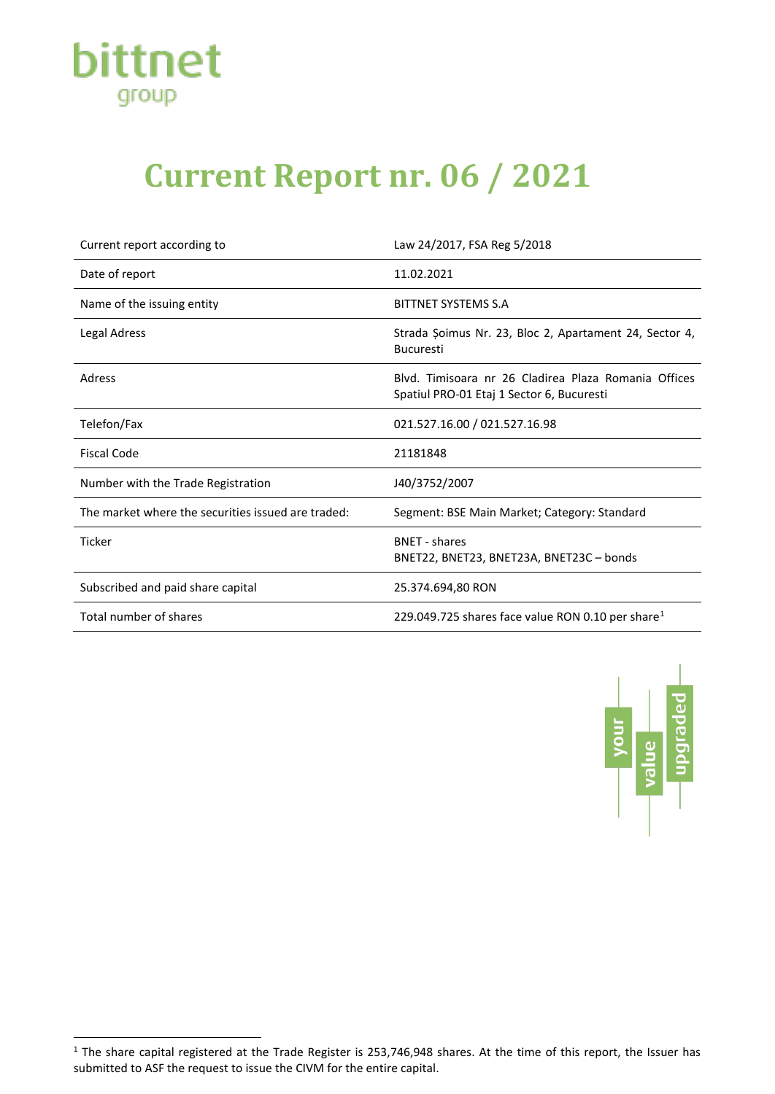

## **Current Report nr. 06 / 2021**

| Current report according to                        | Law 24/2017, FSA Reg 5/2018                                                                       |
|----------------------------------------------------|---------------------------------------------------------------------------------------------------|
| Date of report                                     | 11.02.2021                                                                                        |
| Name of the issuing entity                         | BITTNET SYSTEMS S.A                                                                               |
| <b>Legal Adress</b>                                | Strada Șoimus Nr. 23, Bloc 2, Apartament 24, Sector 4,<br><b>Bucuresti</b>                        |
| Adress                                             | Blyd. Timisoara nr 26 Cladirea Plaza Romania Offices<br>Spatiul PRO-01 Etaj 1 Sector 6, Bucuresti |
| Telefon/Fax                                        | 021.527.16.00 / 021.527.16.98                                                                     |
| <b>Fiscal Code</b>                                 | 21181848                                                                                          |
| Number with the Trade Registration                 | J40/3752/2007                                                                                     |
| The market where the securities issued are traded: | Segment: BSE Main Market; Category: Standard                                                      |
| <b>Ticker</b>                                      | <b>BNET - shares</b><br>BNET22, BNET23, BNET23A, BNET23C - bonds                                  |
| Subscribed and paid share capital                  | 25.374.694,80 RON                                                                                 |
| Total number of shares                             | 229.049.725 shares face value RON 0.10 per share <sup>1</sup>                                     |



<span id="page-0-0"></span> $1$  The share capital registered at the Trade Register is 253,746,948 shares. At the time of this report, the Issuer has submitted to ASF the request to issue the CIVM for the entire capital.